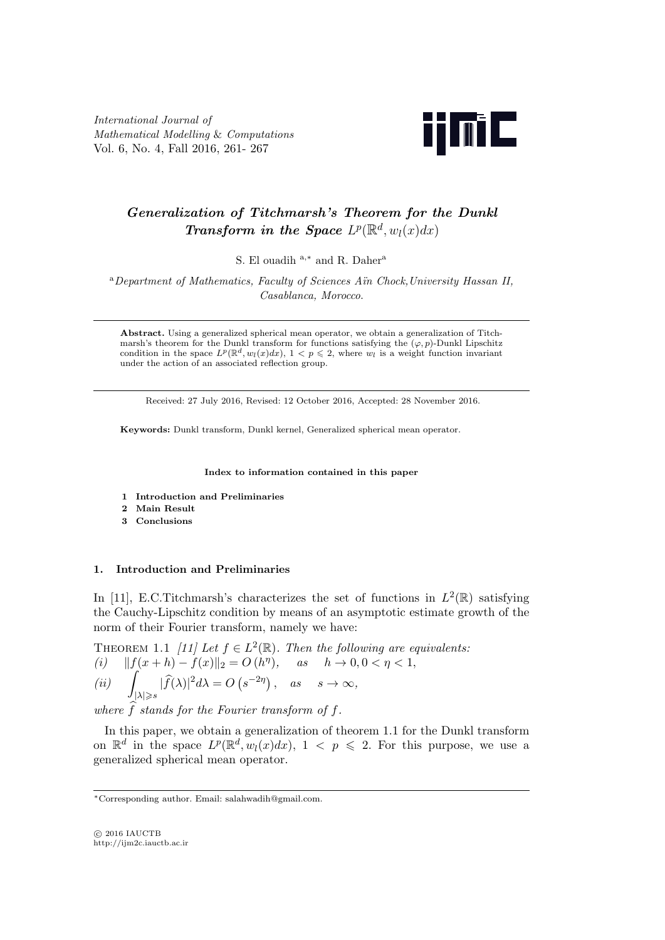*International Journal of Mathematical Modelling* & *Computations* Vol. 6, No. 4, Fall 2016, 261- 267



# *Generalization of Titchmarsh's Theorem for the Dunkl Transform in the Space*  $L^p(\mathbb{R}^d, w_l(x)dx)$

S. El ouadih <sup>a</sup>*,<sup>∗</sup>* and R. Daher<sup>a</sup>

<sup>a</sup>*Department of Mathematics, Faculty of Sciences A¨ın Chock,University Hassan II, Casablanca, Morocco*.

**Abstract.** Using a generalized spherical mean operator, we obtain a generalization of Titchmarsh's theorem for the Dunkl transform for functions satisfying the  $(\varphi, p)$ -Dunkl Lipschitz condition in the space  $L^p(\mathbb{R}^d, w_l(x)dx)$ ,  $1 < p \leq 2$ , where  $w_l$  is a weight function invariant under the action of an associated reflection group.

Received: 27 July 2016, Revised: 12 October 2016, Accepted: 28 November 2016.

**Keywords:** Dunkl transform, Dunkl kernel, Generalized spherical mean operator.

**Index to information contained in this paper**

- **1 Introduction and Preliminaries**
- **2 Main Result**
- **3 Conclusions**

## **1. Introduction and Preliminaries**

In [11], E.C.Titchmarsh's characterizes the set of functions in  $L^2(\mathbb{R})$  satisfying the Cauchy-Lipschitz condition by means of an asymptotic estimate growth of the norm of their Fourier transform, namely we have:

THEOREM 1.1 *[11]* Let  $f \in L^2(\mathbb{R})$ . Then the following are equivalents:  $(f(x+h) - f(x)||_2 = O(h^{\eta}), \quad \text{as} \quad h \to 0, 0 < \eta < 1,$ *(ii)* <sup>∫</sup> *|λ|*⩾*s*  $|\widehat{f}(\lambda)|^2 d\lambda = O(s^{-2\eta}), \quad \text{as} \quad s \to \infty,$ 

where  $\hat{f}$  stands for the Fourier transform of  $f$ .

In this paper, we obtain a generalization of theorem 1.1 for the Dunkl transform on  $\mathbb{R}^d$  in the space  $L^p(\mathbb{R}^d, w_l(x)dx)$ ,  $1 < p \leq 2$ . For this purpose, we use a generalized spherical mean operator.

*<sup>∗</sup>*Corresponding author. Email: salahwadih@gmail.com.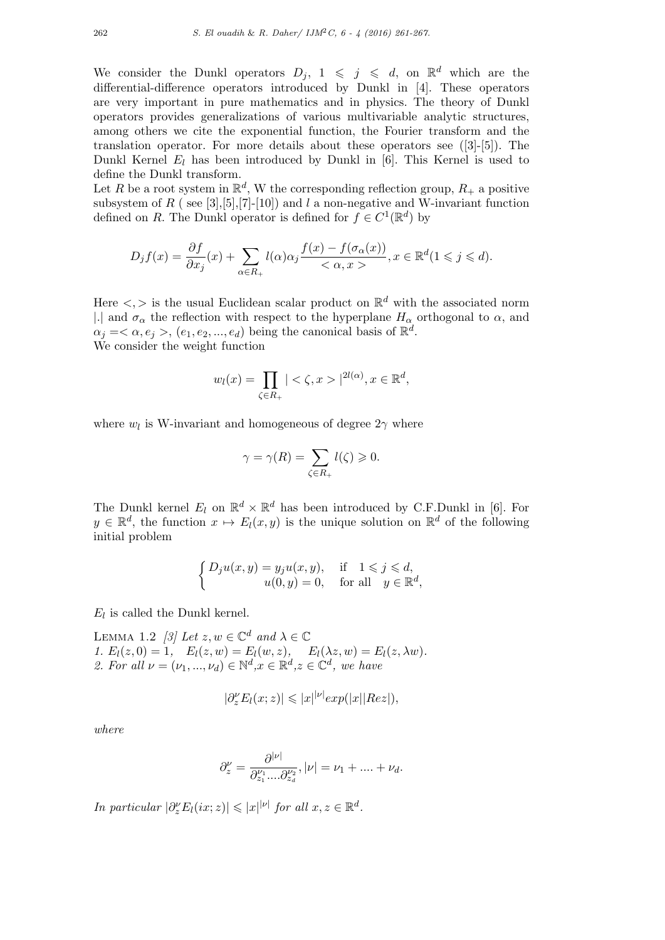We consider the Dunkl operators  $D_j$ ,  $1 \leqslant j \leqslant d$ , on  $\mathbb{R}^d$  which are the differential-difference operators introduced by Dunkl in [4]. These operators are very important in pure mathematics and in physics. The theory of Dunkl operators provides generalizations of various multivariable analytic structures, among others we cite the exponential function, the Fourier transform and the translation operator. For more details about these operators see ([3]-[5]). The Dunkl Kernel  $E_l$  has been introduced by Dunkl in [6]. This Kernel is used to define the Dunkl transform.

Let *R* be a root system in  $\mathbb{R}^d$ , W the corresponding reflection group,  $R_+$  a positive subsystem of *R* ( see [3],[5],[7]-[10]) and *l* a non-negative and W-invariant function defined on *R*. The Dunkl operator is defined for  $f \in C^1(\mathbb{R}^d)$  by

$$
D_j f(x) = \frac{\partial f}{\partial x_j}(x) + \sum_{\alpha \in R_+} l(\alpha) \alpha_j \frac{f(x) - f(\sigma_\alpha(x))}{\langle \alpha, x \rangle}, x \in \mathbb{R}^d \ (1 \leqslant j \leqslant d).
$$

Here  $\langle \cdot, \cdot \rangle$  is the usual Euclidean scalar product on  $\mathbb{R}^d$  with the associated norm |<sup>*.*|</sup> and  $\sigma_{\alpha}$  the reflection with respect to the hyperplane  $H_{\alpha}$  orthogonal to  $\alpha$ , and  $\alpha_j = \langle \alpha, e_j \rangle, (e_1, e_2, ..., e_d)$  being the canonical basis of  $\mathbb{R}^d$ . We consider the weight function

$$
w_l(x) = \prod_{\zeta \in R_+} | \langle \zeta, x \rangle |^{2l(\alpha)}, x \in \mathbb{R}^d,
$$

where  $w_l$  is W-invariant and homogeneous of degree  $2\gamma$  where

$$
\gamma = \gamma(R) = \sum_{\zeta \in R_+} l(\zeta) \geqslant 0.
$$

The Dunkl kernel  $E_l$  on  $\mathbb{R}^d \times \mathbb{R}^d$  has been introduced by C.F.Dunkl in [6]. For  $y \in \mathbb{R}^d$ , the function  $x \mapsto E_l(x, y)$  is the unique solution on  $\mathbb{R}^d$  of the following initial problem

$$
\begin{cases} D_j u(x, y) = y_j u(x, y), & \text{if } 1 \leq j \leq d, \\ u(0, y) = 0, & \text{for all } y \in \mathbb{R}^d, \end{cases}
$$

 $E_l$  is called the Dunkl kernel.

LEMMA 1.2 *[3]* Let  $z, w \in \mathbb{C}^d$  and  $\lambda \in \mathbb{C}$ *1.*  $E_l(z, 0) = 1$ ,  $E_l(z, w) = E_l(w, z)$ ,  $E_l(\lambda z, w) = E_l(z, \lambda w)$ . *2. For all*  $\nu = (\nu_1, ..., \nu_d) \in \mathbb{N}^d, x \in \mathbb{R}^d, z \in \mathbb{C}^d$ , we have

$$
|\partial_z^{\nu} E_l(x;z)| \leqslant |x|^{\nu|} exp(|x| |Re z|),
$$

*where*

$$
\partial_z^{\nu} = \frac{\partial^{|\nu|}}{\partial_{z_1}^{\nu_1} \dots \partial_{z_d}^{\nu_2}}, |\nu| = \nu_1 + \dots + \nu_d.
$$

*In particular*  $|\partial_z^{\nu}E_l(ix;z)| \leqslant |x|^{\mid \nu \mid}$  *for all*  $x, z \in \mathbb{R}^d$ .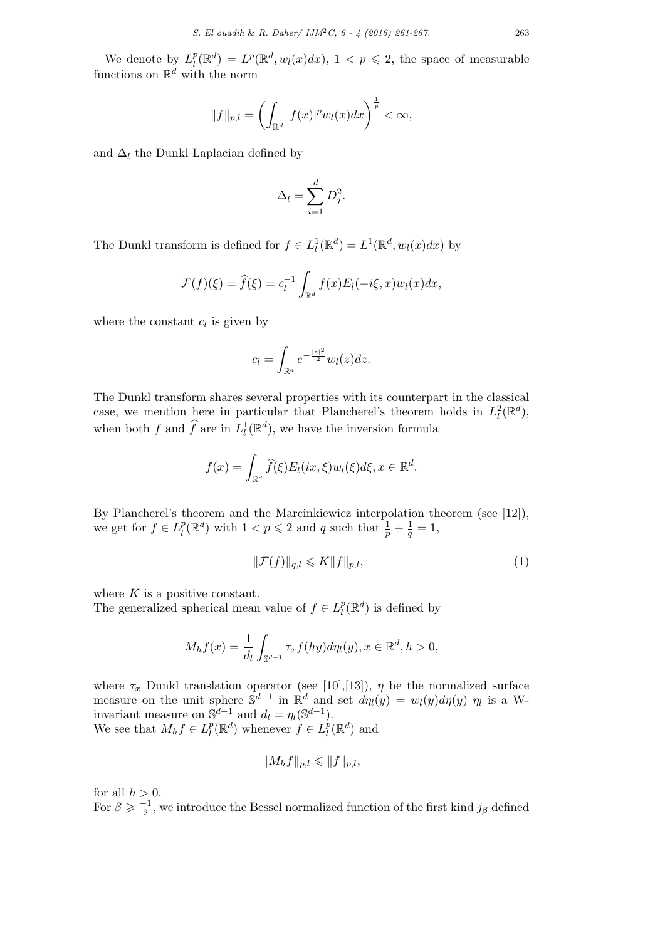We denote by  $L_l^p$  $l^p(\mathbb{R}^d) = L^p(\mathbb{R}^d, w_l(x)dx), 1 < p \leq 2$ , the space of measurable functions on  $\mathbb{R}^d$  with the norm

$$
||f||_{p,l} = \left(\int_{\mathbb{R}^d} |f(x)|^p w_l(x) dx\right)^{\frac{1}{p}} < \infty,
$$

and  $\Delta_l$  the Dunkl Laplacian defined by

$$
\Delta_l = \sum_{i=1}^d D_j^2.
$$

The Dunkl transform is defined for  $f \in L^1_l(\mathbb{R}^d) = L^1(\mathbb{R}^d, w_l(x)dx)$  by

$$
\mathcal{F}(f)(\xi) = \widehat{f}(\xi) = c_l^{-1} \int_{\mathbb{R}^d} f(x) E_l(-i\xi, x) w_l(x) dx,
$$

where the constant  $c_l$  is given by

$$
c_l = \int_{\mathbb{R}^d} e^{-\frac{|z|^2}{2}} w_l(z) dz.
$$

The Dunkl transform shares several properties with its counterpart in the classical case, we mention here in particular that Plancherel's theorem holds in  $L^2_l(\mathbb{R}^d)$ , when both *f* and  $\widehat{f}$  are in  $L_l^1(\mathbb{R}^d)$ , we have the inversion formula

$$
f(x) = \int_{\mathbb{R}^d} \widehat{f}(\xi) E_l(ix, \xi) w_l(\xi) d\xi, x \in \mathbb{R}^d.
$$

By Plancherel's theorem and the Marcinkiewicz interpolation theorem (see [12]), we get for  $f \in L_l^p$  $l^p(\mathbb{R}^d)$  with  $1 < p \leqslant 2$  and *q* such that  $\frac{1}{p} + \frac{1}{q} = 1$ ,

$$
\|\mathcal{F}(f)\|_{q,l} \leqslant K \|f\|_{p,l},\tag{1}
$$

where *K* is a positive constant.

The generalized spherical mean value of  $f \in L_l^p$  $l^p$ ( $\mathbb{R}^d$ ) is defined by

$$
M_h f(x) = \frac{1}{d_l} \int_{\mathbb{S}^{d-1}} \tau_x f(hy) d\eta_l(y), x \in \mathbb{R}^d, h > 0,
$$

where  $\tau_x$  Dunkl translation operator (see [10], [13]),  $\eta$  be the normalized surface measure on the unit sphere  $\mathbb{S}^{d-1}$  in  $\mathbb{R}^d$  and set  $d\eta_l(y) = w_l(y)d\eta(y)$   $\eta_l$  is a Winvariant measure on  $\mathbb{S}^{d-1}$  and  $d_l = \eta_l(\mathbb{S}^{d-1})$ . We see that  $M_h f \in L_l^p$  $L_l^p(\mathbb{R}^d)$  whenever  $f \in L_l^p$  $l^p(\mathbb{R}^d)$  and

$$
||M_hf||_{p,l} \leq ||f||_{p,l},
$$

for all  $h > 0$ . For  $\beta \geq \frac{-1}{2}$ , we introduce the Bessel normalized function of the first kind  $j_{\beta}$  defined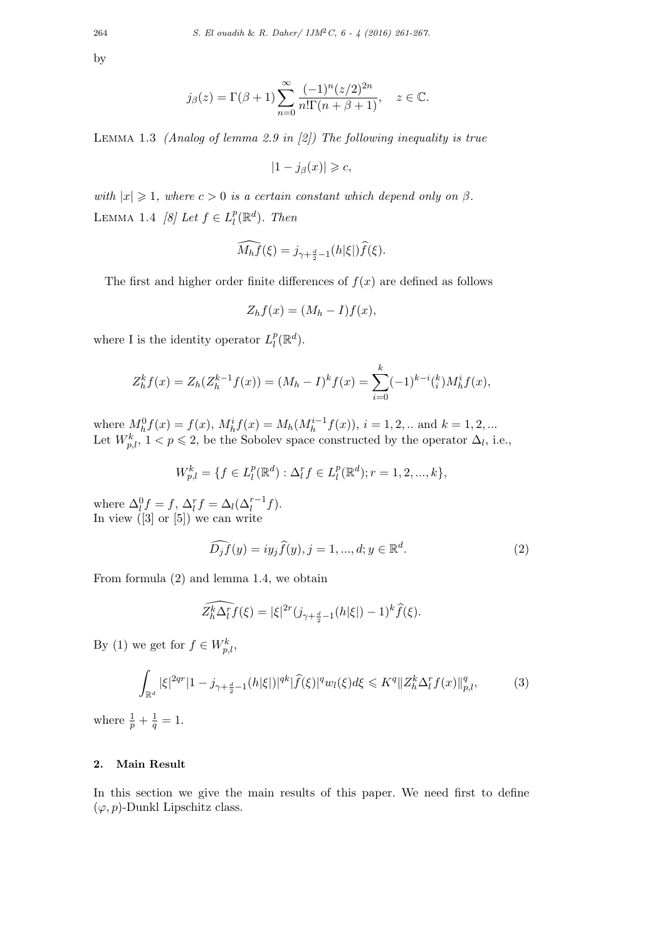by

$$
j_{\beta}(z) = \Gamma(\beta + 1) \sum_{n=0}^{\infty} \frac{(-1)^n (z/2)^{2n}}{n! \Gamma(n + \beta + 1)}, \quad z \in \mathbb{C}.
$$

Lemma 1.3 *(Analog of lemma 2.9 in [2]) The following inequality is true*

$$
|1 - j_{\beta}(x)| \geqslant c,
$$

*with*  $|x| \geq 1$ *, where*  $c > 0$  *is a certain constant which depend only on*  $\beta$ *.* LEMMA 1.4 *[8] Let*  $f \in L_l^p$  $_{l}^{p}(\mathbb{R}^{d})$ *.* Then

$$
\widehat{M_h f}(\xi) = j_{\gamma + \frac{d}{2} - 1}(h|\xi|) \widehat{f}(\xi).
$$

The first and higher order finite differences of  $f(x)$  are defined as follows

$$
Z_h f(x) = (M_h - I)f(x),
$$

where I is the identity operator  $L_l^p$  $_l^p(\mathbb{R}^d)$ .

$$
Z_h^k f(x) = Z_h(Z_h^{k-1} f(x)) = (M_h - I)^k f(x) = \sum_{i=0}^k (-1)^{k-i} {k \choose i} M_h^i f(x),
$$

where  $M_h^0 f(x) = f(x)$ ,  $M_h^i f(x) = M_h(M_h^{i-1} f(x))$ ,  $i = 1, 2, ...$  and  $k = 1, 2, ...$ Let  $W_{p,l}^k$ ,  $1 < p \leq 2$ , be the Sobolev space constructed by the operator  $\Delta_l$ , i.e.,

$$
W_{p,l}^k = \{ f \in L_l^p(\mathbb{R}^d) : \Delta_l^r f \in L_l^p(\mathbb{R}^d); r = 1, 2, ..., k \},\
$$

where  $\Delta_l^0 f = f$ ,  $\Delta_l^r f = \Delta_l(\Delta_l^{r-1} f)$ . In view ([3] or [5]) we can write

$$
\widehat{D_j f}(y) = iy_j \widehat{f}(y), j = 1, ..., d; y \in \mathbb{R}^d.
$$
\n<sup>(2)</sup>

From formula (2) and lemma 1.4, we obtain

$$
\widehat{Z_h^k \Delta_l^r f}(\xi) = |\xi|^{2r} (j_{\gamma + \frac{d}{2}-1}(h|\xi|) - 1)^k \widehat{f}(\xi).
$$

By (1) we get for  $f \in W_{p,l}^k$ ,

$$
\int_{\mathbb{R}^d} |\xi|^{2qr} |1 - j_{\gamma + \frac{d}{2} - 1}(h|\xi|)|^{qk} |\widehat{f}(\xi)|^q w_l(\xi) d\xi \leqslant K^q \| Z_h^k \Delta_l^r f(x) \|_{p,l}^q, \tag{3}
$$

where  $\frac{1}{p} + \frac{1}{q}$  $\frac{1}{q} = 1.$ 

## **2. Main Result**

In this section we give the main results of this paper. We need first to define  $(\varphi, p)$ -Dunkl Lipschitz class.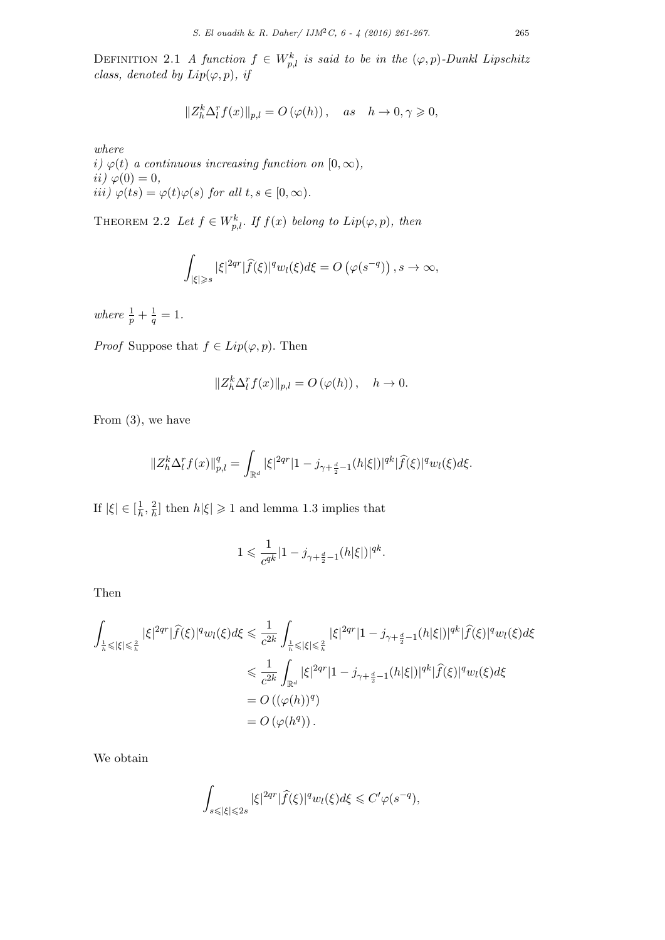DEFINITION 2.1 *A function*  $f \in W_{p,l}^k$  *is said to be in the*  $(\varphi, p)$ *-Dunkl Lipschitz class, denoted by*  $Lip(\varphi, p)$ *, if* 

$$
||Z_h^k \Delta_l^r f(x)||_{p,l} = O(\varphi(h)), \quad as \quad h \to 0, \gamma \geqslant 0,
$$

*where*

 $i) \varphi(t)$  *a continuous increasing function on*  $[0, \infty)$ *, ii)*  $\varphi(0) = 0$ *,*  $\phi(t) = \varphi(t)\varphi(s)$  *for all*  $t, s \in [0, \infty)$ .

THEOREM 2.2 Let  $f \in W_{p,l}^k$ . If  $f(x)$  belong to  $Lip(\varphi, p)$ , then

$$
\int_{|\xi|\geqslant s} |\xi|^{2qr} |\widehat{f}(\xi)|^q w_l(\xi) d\xi = O\left(\varphi(s^{-q})\right), s \to \infty,
$$

*where*  $\frac{1}{p} + \frac{1}{q}$  $\frac{1}{q} = 1.$ 

*Proof* Suppose that  $f \in Lip(\varphi, p)$ . Then

$$
||Z_h^k \Delta_l^r f(x)||_{p,l} = O(\varphi(h)), \quad h \to 0.
$$

From (3), we have

$$
||Z_h^k \Delta_l^r f(x)||_{p,l}^q = \int_{\mathbb{R}^d} |\xi|^{2qr} |1 - j_{\gamma + \frac{d}{2} - 1}(h|\xi|)|^{qk} |\widehat{f}(\xi)|^q w_l(\xi) d\xi.
$$

If  $|\xi| \in \left[\frac{1}{h}\right]$  $\frac{1}{h}$ ,  $\frac{2}{h}$  $\frac{2}{h}$  then  $h|\xi| \geq 1$  and lemma 1.3 implies that

$$
1\leqslant \frac{1}{c^{qk}}|1-j_{\gamma+\frac{d}{2}-1}(h|\xi|)|^{qk}.
$$

Then

$$
\int_{\frac{1}{h}\leqslant |\xi|\leqslant \frac{2}{h}} |\xi|^{2qr} |\widehat{f}(\xi)|^q w_l(\xi) d\xi \leqslant \frac{1}{c^{2k}} \int_{\frac{1}{h}\leqslant |\xi|\leqslant \frac{2}{h}} |\xi|^{2qr} |1-j_{\gamma+\frac{d}{2}-1}(h|\xi|)|^{qk} |\widehat{f}(\xi)|^q w_l(\xi) d\xi
$$
  

$$
\leqslant \frac{1}{c^{2k}} \int_{\mathbb{R}^d} |\xi|^{2qr} |1-j_{\gamma+\frac{d}{2}-1}(h|\xi|)|^{qk} |\widehat{f}(\xi)|^q w_l(\xi) d\xi
$$
  

$$
= O\left((\varphi(h))^q\right)
$$
  

$$
= O\left((\varphi(h^q)\right).
$$

We obtain

$$
\int_{s\leqslant |\xi|\leqslant 2s} |\xi|^{2qr} |\widehat{f}(\xi)|^q w_l(\xi) d\xi \leqslant C' \varphi(s^{-q}),
$$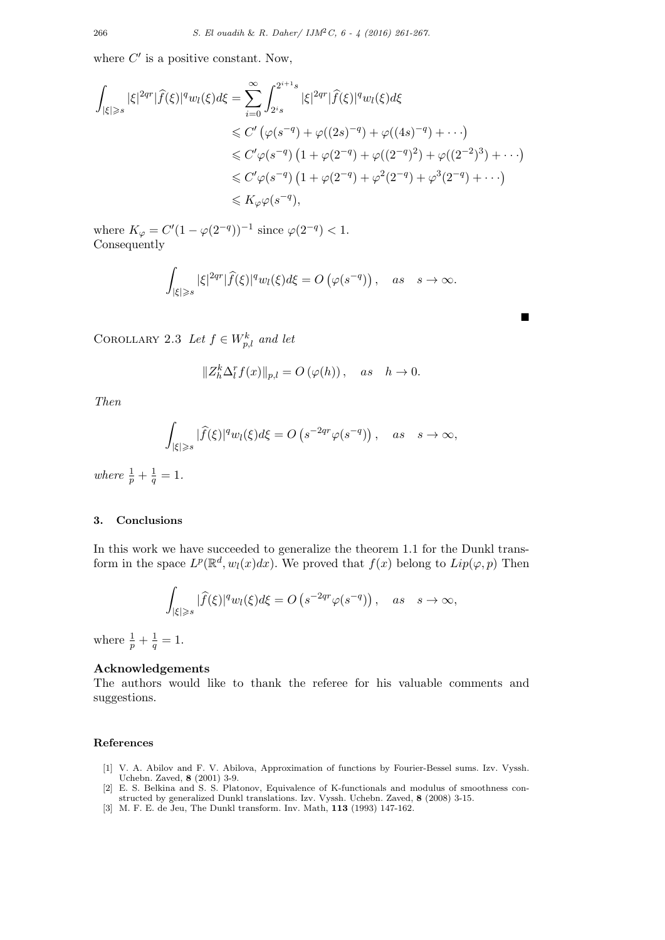where  $C'$  is a positive constant. Now,

$$
\int_{|\xi| \geqslant s} |\xi|^{2qr} |\widehat{f}(\xi)|^q w_l(\xi) d\xi = \sum_{i=0}^{\infty} \int_{2^i s}^{2^{i+1}s} |\xi|^{2qr} |\widehat{f}(\xi)|^q w_l(\xi) d\xi
$$
  
\n
$$
\leqslant C' \left( \varphi(s^{-q}) + \varphi((2s)^{-q}) + \varphi((4s)^{-q}) + \cdots \right)
$$
  
\n
$$
\leqslant C' \varphi(s^{-q}) \left( 1 + \varphi(2^{-q}) + \varphi((2^{-q})^2) + \varphi((2^{-2})^3) + \cdots \right)
$$
  
\n
$$
\leqslant C' \varphi(s^{-q}) \left( 1 + \varphi(2^{-q}) + \varphi^2(2^{-q}) + \varphi^3(2^{-q}) + \cdots \right)
$$
  
\n
$$
\leqslant K_{\varphi} \varphi(s^{-q}),
$$

where  $K_{\varphi} = C'(1 - \varphi(2^{-q}))^{-1}$  since  $\varphi(2^{-q}) < 1$ . Consequently

$$
\int_{|\xi|\geqslant s} |\xi|^{2qr} |\widehat{f}(\xi)|^q w_l(\xi) d\xi = O\left(\varphi(s^{-q})\right), \quad as \quad s \to \infty.
$$

■

COROLLARY 2.3 Let  $f \in W_{p,l}^k$  and let

$$
||Z_h^k \Delta_l^r f(x)||_{p,l} = O(\varphi(h)), \quad as \quad h \to 0.
$$

*Then*

$$
\int_{|\xi|\geqslant s} |\widehat{f}(\xi)|^q w_l(\xi) d\xi = O\left(s^{-2qr} \varphi(s^{-q})\right), \quad as \quad s \to \infty,
$$

*where*  $\frac{1}{p} + \frac{1}{q}$  $\frac{1}{q} = 1.$ 

## **3. Conclusions**

In this work we have succeeded to generalize the theorem 1.1 for the Dunkl transform in the space  $L^p(\mathbb{R}^d, w_l(x)dx)$ . We proved that  $f(x)$  belong to  $Lip(\varphi, p)$  Then

$$
\int_{|\xi|\geqslant s} |\widehat{f}(\xi)|^q w_l(\xi) d\xi = O\left(s^{-2qr} \varphi(s^{-q})\right), \quad as \quad s \to \infty,
$$

where  $\frac{1}{p} + \frac{1}{q}$  $\frac{1}{q} = 1.$ 

### **Acknowledgements**

The authors would like to thank the referee for his valuable comments and suggestions.

### **References**

- [1] V. A. Abilov and F. V. Abilova, Approximation of functions by Fourier-Bessel sums. Izv. Vyssh. Uchebn. Zaved, **8** (2001) 3-9.
- [2] E. S. Belkina and S. S. Platonov, Equivalence of K-functionals and modulus of smoothness constructed by generalized Dunkl translations. Izv. Vyssh. Uchebn. Zaved, **8** (2008) 3-15.
- [3] M. F. E. de Jeu, The Dunkl transform. Inv. Math, **113** (1993) 147-162.